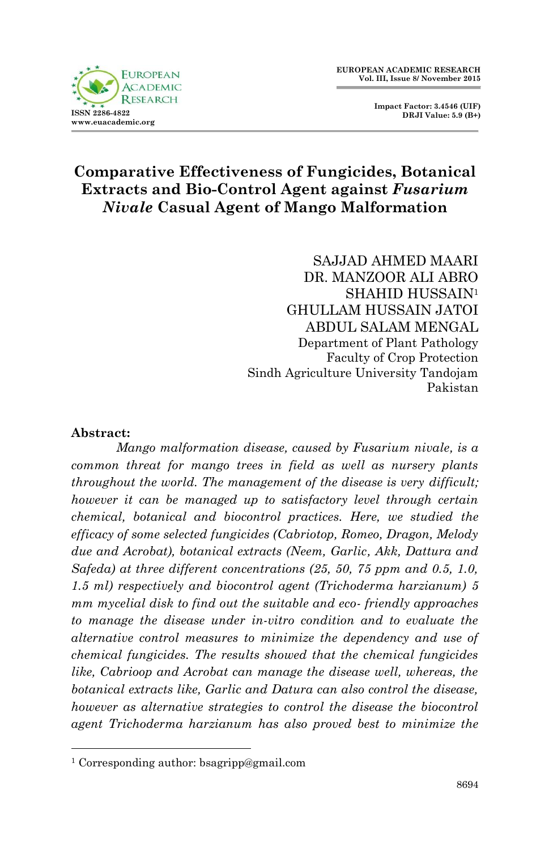

 **Impact Factor: 3.4546 (UIF) DRJI Value: 5.9 (B+)**

# **Comparative Effectiveness of Fungicides, Botanical Extracts and Bio-Control Agent against** *Fusarium Nivale* **Casual Agent of Mango Malformation**

SAJJAD AHMED MAARI DR. MANZOOR ALI ABRO SHAHID HUSSAIN<sup>1</sup> GHULLAM HUSSAIN JATOI ABDUL SALAM MENGAL Department of Plant Pathology Faculty of Crop Protection Sindh Agriculture University Tandojam Pakistan

#### **Abstract:**

1

*Mango malformation disease, caused by Fusarium nivale, is a common threat for mango trees in field as well as nursery plants throughout the world. The management of the disease is very difficult; however it can be managed up to satisfactory level through certain chemical, botanical and biocontrol practices. Here, we studied the efficacy of some selected fungicides (Cabriotop, Romeo, Dragon, Melody due and Acrobat), botanical extracts (Neem, Garlic, Akk, Dattura and Safeda) at three different concentrations (25, 50, 75 ppm and 0.5, 1.0, 1.5 ml) respectively and biocontrol agent (Trichoderma harzianum) 5 mm mycelial disk to find out the suitable and eco- friendly approaches to manage the disease under in-vitro condition and to evaluate the alternative control measures to minimize the dependency and use of chemical fungicides. The results showed that the chemical fungicides like, Cabrioop and Acrobat can manage the disease well, whereas, the botanical extracts like, Garlic and Datura can also control the disease, however as alternative strategies to control the disease the biocontrol agent Trichoderma harzianum has also proved best to minimize the* 

<sup>1</sup> Corresponding author: bsagripp@gmail.com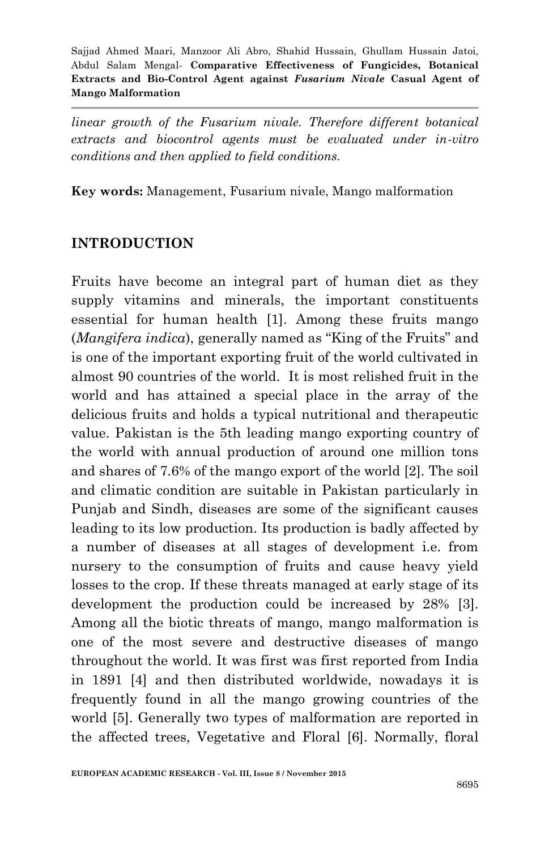*linear growth of the Fusarium nivale. Therefore different botanical extracts and biocontrol agents must be evaluated under in-vitro conditions and then applied to field conditions.*

**Key words:** Management, Fusarium nivale, Mango malformation

## **INTRODUCTION**

Fruits have become an integral part of human diet as they supply vitamins and minerals, the important constituents essential for human health [1]. Among these fruits mango (*Mangifera indica*), generally named as "King of the Fruits" and is one of the important exporting fruit of the world cultivated in almost 90 countries of the world. It is most relished fruit in the world and has attained a special place in the array of the delicious fruits and holds a typical nutritional and therapeutic value. Pakistan is the 5th leading mango exporting country of the world with annual production of around one million tons and shares of 7.6% of the mango export of the world [2]. The soil and climatic condition are suitable in Pakistan particularly in Punjab and Sindh, diseases are some of the significant causes leading to its low production. Its production is badly affected by a number of diseases at all stages of development i.e. from nursery to the consumption of fruits and cause heavy yield losses to the crop. If these threats managed at early stage of its development the production could be increased by 28% [3]. Among all the biotic threats of mango, mango malformation is one of the most severe and destructive diseases of mango throughout the world. It was first was first reported from India in 1891 [4] and then distributed worldwide, nowadays it is frequently found in all the mango growing countries of the world [5]. Generally two types of malformation are reported in the affected trees, Vegetative and Floral [6]. Normally, floral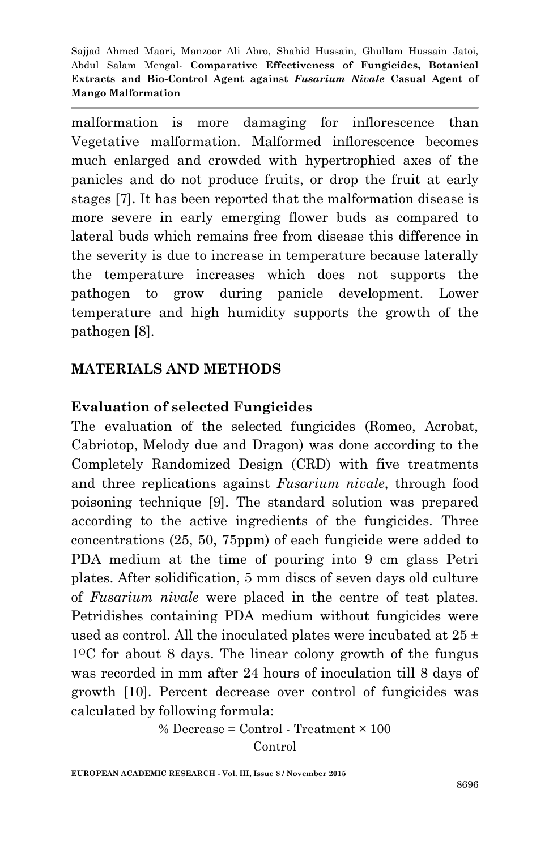malformation is more damaging for inflorescence than Vegetative malformation. Malformed inflorescence becomes much enlarged and crowded with hypertrophied axes of the panicles and do not produce fruits, or drop the fruit at early stages [7]. It has been reported that the malformation disease is more severe in early emerging flower buds as compared to lateral buds which remains free from disease this difference in the severity is due to increase in temperature because laterally the temperature increases which does not supports the pathogen to grow during panicle development. Lower temperature and high humidity supports the growth of the pathogen [8].

## **MATERIALS AND METHODS**

### **Evaluation of selected Fungicides**

The evaluation of the selected fungicides (Romeo, Acrobat, Cabriotop, Melody due and Dragon) was done according to the Completely Randomized Design (CRD) with five treatments and three replications against *Fusarium nivale*, through food poisoning technique [9]. The standard solution was prepared according to the active ingredients of the fungicides. Three concentrations (25, 50, 75ppm) of each fungicide were added to PDA medium at the time of pouring into 9 cm glass Petri plates. After solidification, 5 mm discs of seven days old culture of *Fusarium nivale* were placed in the centre of test plates. Petridishes containing PDA medium without fungicides were used as control. All the inoculated plates were incubated at  $25 \pm$ 1OC for about 8 days. The linear colony growth of the fungus was recorded in mm after 24 hours of inoculation till 8 days of growth [10]. Percent decrease over control of fungicides was calculated by following formula:

$$
\frac{\% \text{ Decrease} = \text{Control} \cdot \text{Treatment} \times 100}{\text{Control}}
$$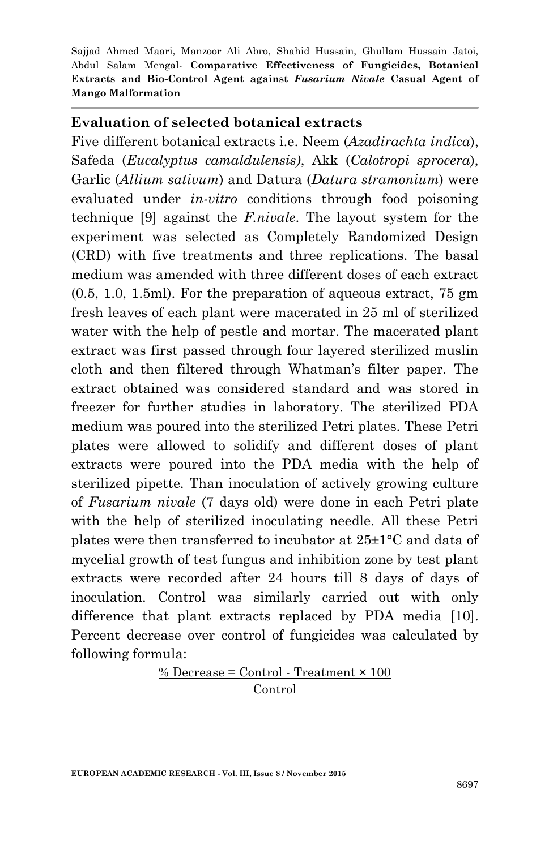### **Evaluation of selected botanical extracts**

Five different botanical extracts i.e. Neem (*Azadirachta indica*), Safeda (*Eucalyptus camaldulensis)*, Akk (*Calotropi sprocera*), Garlic (*Allium sativum*) and Datura (*Datura stramonium*) were evaluated under *in-vitro* conditions through food poisoning technique [9] against the *F.nivale*. The layout system for the experiment was selected as Completely Randomized Design (CRD) with five treatments and three replications. The basal medium was amended with three different doses of each extract (0.5, 1.0, 1.5ml). For the preparation of aqueous extract, 75 gm fresh leaves of each plant were macerated in 25 ml of sterilized water with the help of pestle and mortar. The macerated plant extract was first passed through four layered sterilized muslin cloth and then filtered through Whatman's filter paper. The extract obtained was considered standard and was stored in freezer for further studies in laboratory. The sterilized PDA medium was poured into the sterilized Petri plates. These Petri plates were allowed to solidify and different doses of plant extracts were poured into the PDA media with the help of sterilized pipette. Than inoculation of actively growing culture of *Fusarium nivale* (7 days old) were done in each Petri plate with the help of sterilized inoculating needle. All these Petri plates were then transferred to incubator at 25±1°C and data of mycelial growth of test fungus and inhibition zone by test plant extracts were recorded after 24 hours till 8 days of days of inoculation. Control was similarly carried out with only difference that plant extracts replaced by PDA media [10]. Percent decrease over control of fungicides was calculated by following formula:

### $%$  Decrease = Control - Treatment  $\times$  100 Control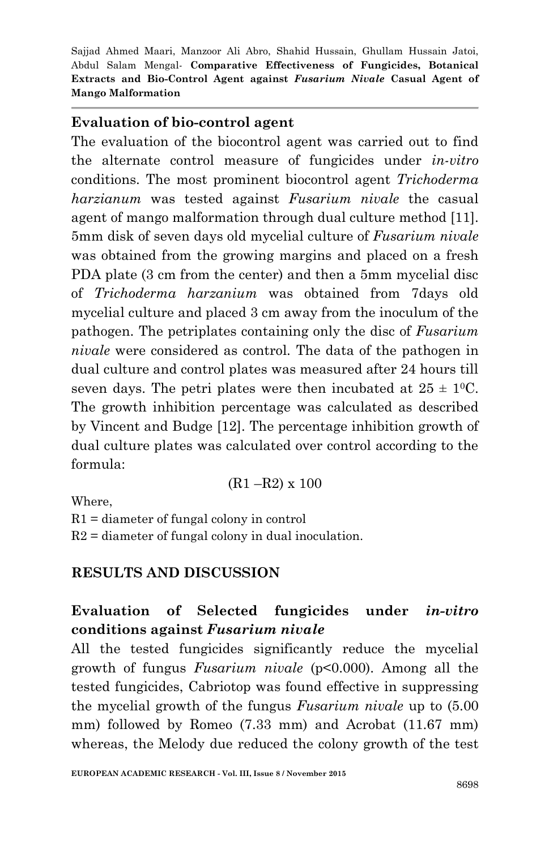### **Evaluation of bio-control agent**

The evaluation of the biocontrol agent was carried out to find the alternate control measure of fungicides under *in-vitro* conditions. The most prominent biocontrol agent *Trichoderma harzianum* was tested against *Fusarium nivale* the casual agent of mango malformation through dual culture method [11]. 5mm disk of seven days old mycelial culture of *Fusarium nivale* was obtained from the growing margins and placed on a fresh PDA plate (3 cm from the center) and then a 5mm mycelial disc of *Trichoderma harzanium* was obtained from 7days old mycelial culture and placed 3 cm away from the inoculum of the pathogen. The petriplates containing only the disc of *Fusarium nivale* were considered as control. The data of the pathogen in dual culture and control plates was measured after 24 hours till seven days. The petri plates were then incubated at  $25 \pm 10^{\circ}$ . The growth inhibition percentage was calculated as described by Vincent and Budge [12]. The percentage inhibition growth of dual culture plates was calculated over control according to the formula:

(R1 –R2) x 100

Where,

 $R1$  = diameter of fungal colony in control  $R2$  = diameter of fungal colony in dual inoculation.

## **RESULTS AND DISCUSSION**

# **Evaluation of Selected fungicides under** *in-vitro* **conditions against** *Fusarium nivale*

All the tested fungicides significantly reduce the mycelial growth of fungus *Fusarium nivale* (p<0.000). Among all the tested fungicides, Cabriotop was found effective in suppressing the mycelial growth of the fungus *Fusarium nivale* up to (5.00 mm) followed by Romeo (7.33 mm) and Acrobat (11.67 mm) whereas, the Melody due reduced the colony growth of the test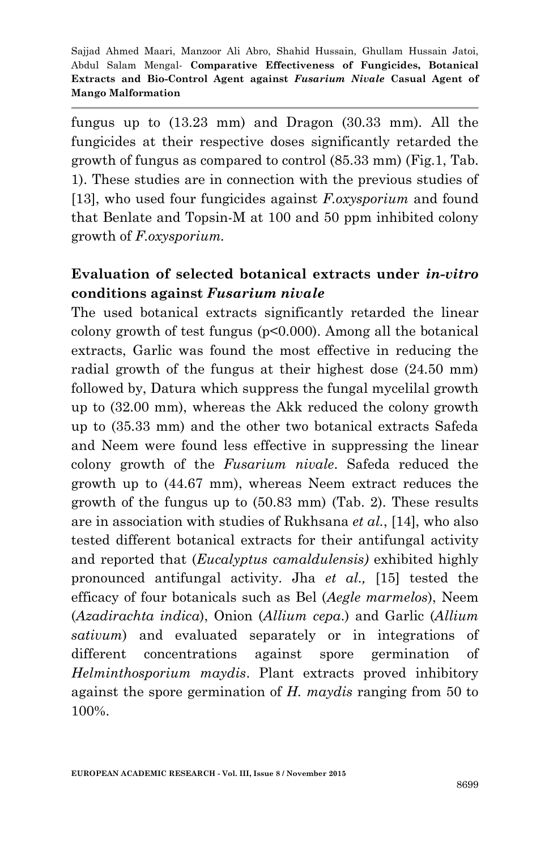fungus up to (13.23 mm) and Dragon (30.33 mm). All the fungicides at their respective doses significantly retarded the growth of fungus as compared to control (85.33 mm) (Fig.1, Tab. 1). These studies are in connection with the previous studies of [13], who used four fungicides against *F.oxysporium* and found that Benlate and Topsin-M at 100 and 50 ppm inhibited colony growth of *F.oxysporium.*

# **Evaluation of selected botanical extracts under** *in-vitro* **conditions against** *Fusarium nivale*

The used botanical extracts significantly retarded the linear colony growth of test fungus (p<0.000). Among all the botanical extracts, Garlic was found the most effective in reducing the radial growth of the fungus at their highest dose (24.50 mm) followed by, Datura which suppress the fungal mycelilal growth up to (32.00 mm), whereas the Akk reduced the colony growth up to (35.33 mm) and the other two botanical extracts Safeda and Neem were found less effective in suppressing the linear colony growth of the *Fusarium nivale*. Safeda reduced the growth up to (44.67 mm), whereas Neem extract reduces the growth of the fungus up to (50.83 mm) (Tab. 2). These results are in association with studies of Rukhsana *et al.*, [14], who also tested different botanical extracts for their antifungal activity and reported that (*Eucalyptus camaldulensis)* exhibited highly pronounced antifungal activity. Jha *et al.,* [15] tested the efficacy of four botanicals such as Bel (*Aegle marmelos*), Neem (*Azadirachta indica*), Onion (*Allium cepa*.) and Garlic (*Allium sativum*) and evaluated separately or in integrations of different concentrations against spore germination of *Helminthosporium maydis*. Plant extracts proved inhibitory against the spore germination of *H. maydis* ranging from 50 to 100%.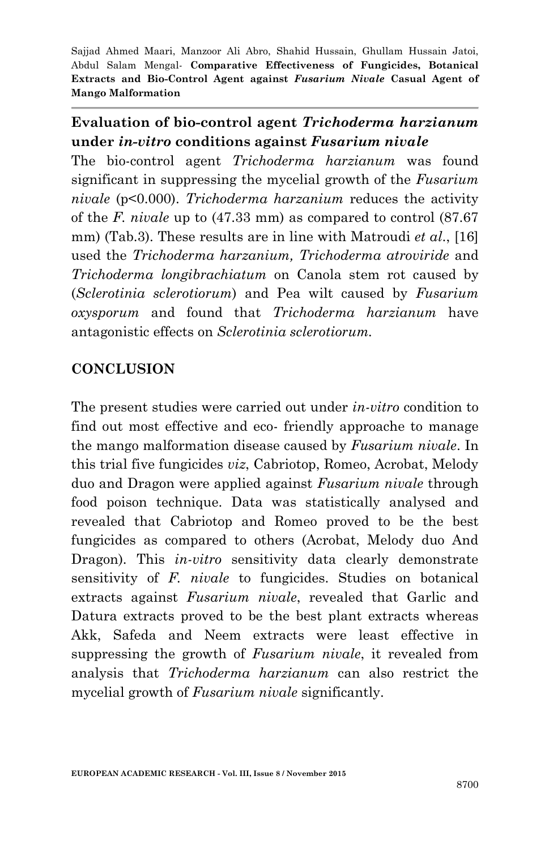## **Evaluation of bio-control agent** *Trichoderma harzianum* **under** *in-vitro* **conditions against** *Fusarium nivale*

The bio-control agent *Trichoderma harzianum* was found significant in suppressing the mycelial growth of the *Fusarium nivale* (p<0.000). *Trichoderma harzanium* reduces the activity of the *F. nivale* up to (47.33 mm) as compared to control (87.67 mm) (Tab.3). These results are in line with Matroudi *et al*., [16] used the *Trichoderma harzanium, Trichoderma atroviride* and *Trichoderma longibrachiatum* on Canola stem rot caused by (*Sclerotinia sclerotiorum*) and Pea wilt caused by *Fusarium oxysporum* and found that *Trichoderma harzianum* have antagonistic effects on *Sclerotinia sclerotiorum.*

# **CONCLUSION**

The present studies were carried out under *in-vitro* condition to find out most effective and eco- friendly approache to manage the mango malformation disease caused by *Fusarium nivale*. In this trial five fungicides *viz*, Cabriotop, Romeo, Acrobat, Melody duo and Dragon were applied against *Fusarium nivale* through food poison technique. Data was statistically analysed and revealed that Cabriotop and Romeo proved to be the best fungicides as compared to others (Acrobat, Melody duo And Dragon). This *in-vitro* sensitivity data clearly demonstrate sensitivity of *F. nivale* to fungicides. Studies on botanical extracts against *Fusarium nivale*, revealed that Garlic and Datura extracts proved to be the best plant extracts whereas Akk, Safeda and Neem extracts were least effective in suppressing the growth of *Fusarium nivale*, it revealed from analysis that *Trichoderma harzianum* can also restrict the mycelial growth of *Fusarium nivale* significantly.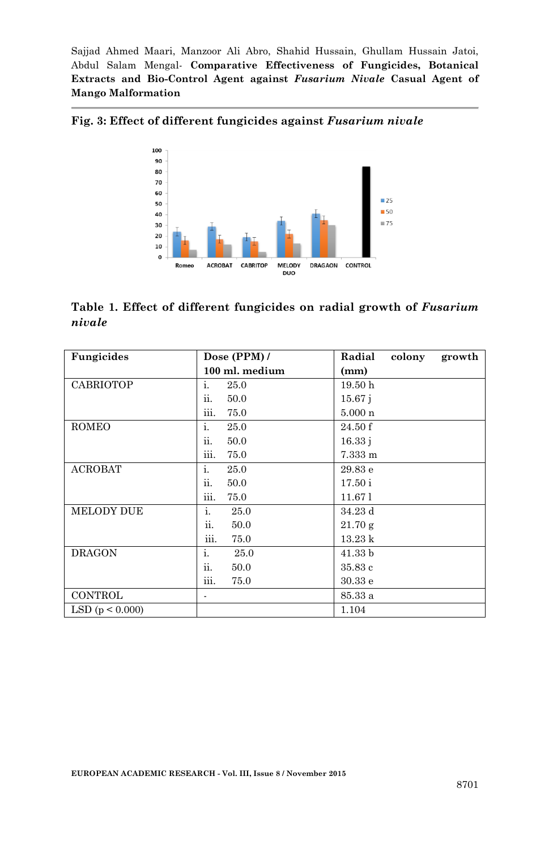

**Fig. 3: Effect of different fungicides against** *Fusarium nivale*

**Table 1. Effect of different fungicides on radial growth of** *Fusarium nivale*

| Fungicides          | Dose $(PPM)$ / | Radial<br>colony   | growth |
|---------------------|----------------|--------------------|--------|
|                     | 100 ml. medium | (mm)               |        |
| <b>CABRIOTOP</b>    | i.<br>25.0     | 19.50 <sub>h</sub> |        |
|                     | ii.<br>50.0    | 15.67j             |        |
|                     | iii.<br>75.0   | $5.000\;n$         |        |
| <b>ROMEO</b>        | i.<br>25.0     | 24.50 f            |        |
|                     | ii.<br>50.0    | 16.33 i            |        |
|                     | iii.<br>75.0   | 7.333 m            |        |
| <b>ACROBAT</b>      | i.<br>25.0     | 29.83 e            |        |
|                     | ii.<br>50.0    | 17.50 i            |        |
|                     | iii.<br>75.0   | 11.67 l            |        |
| <b>MELODY DUE</b>   | i.<br>25.0     | 34.23 d            |        |
|                     | ii.<br>50.0    | 21.70 g            |        |
|                     | iii.<br>75.0   | $13.23\;{\rm k}$   |        |
| <b>DRAGON</b>       | i.<br>25.0     | 41.33 b            |        |
|                     | ii.<br>50.0    | 35.83 c            |        |
|                     | iii.<br>75.0   | 30.33 e            |        |
| CONTROL             |                | 85.33 a            |        |
| LSD ( $p < 0.000$ ) |                | 1.104              |        |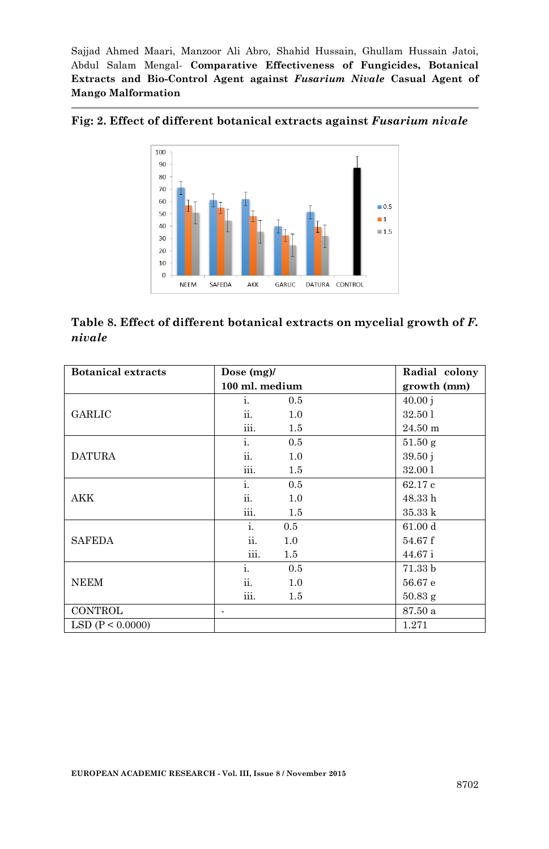

**Fig: 2. Effect of different botanical extracts against** *Fusarium nivale*

**Table 8. Effect of different botanical extracts on mycelial growth of** *F. nivale* 

| <b>Botanical extracts</b> | Dose $(mg)$ /  | Radial colony      |  |
|---------------------------|----------------|--------------------|--|
|                           | 100 ml. medium | growth (mm)        |  |
|                           | i.<br>0.5      | 40.00j             |  |
| <b>GARLIC</b>             | ii.<br>1.0     | 32.50 1            |  |
|                           | iii.<br>1.5    | $24.50 \text{ m}$  |  |
|                           | i.<br>0.5      | 51.50g             |  |
| <b>DATURA</b>             | ii.<br>1.0     | 39.50j             |  |
|                           | iii.<br>1.5    | 32.00 1            |  |
|                           | i.<br>0.5      | 62.17 c            |  |
| AKK                       | ii.<br>1.0     | 48.33 h            |  |
|                           | iii.<br>1.5    | 35.33 k            |  |
|                           | i.<br>0.5      | 61.00 d            |  |
| <b>SAFEDA</b>             | ii.<br>1.0     | 54.67f             |  |
|                           | iii.<br>1.5    | 44.67 i            |  |
|                           | i.<br>0.5      | 71.33 <sub>b</sub> |  |
| <b>NEEM</b>               | ii.<br>1.0     | 56.67 e            |  |
|                           | iii.<br>1.5    | $50.83$ g          |  |
| CONTROL                   |                | 87.50 a            |  |
| LSD (P < 0.0000)          |                | 1.271              |  |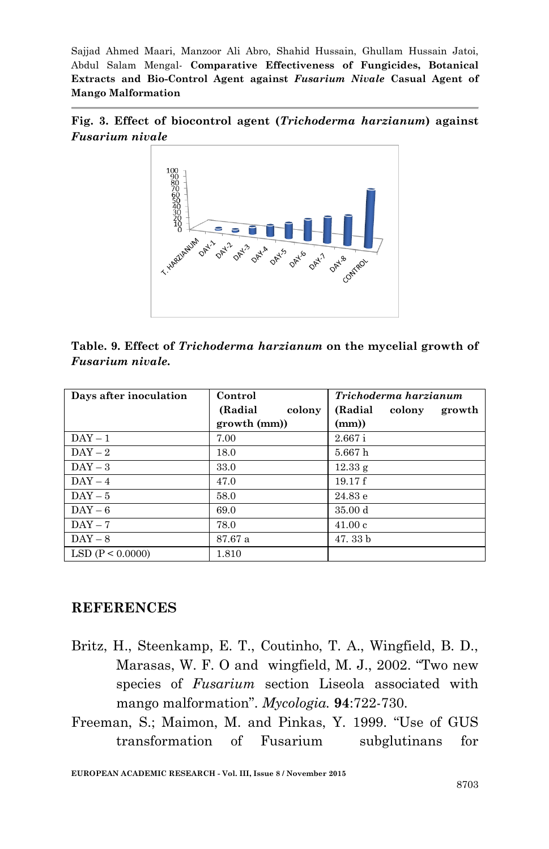



**Table. 9. Effect of** *Trichoderma harzianum* **on the mycelial growth of**  *Fusarium nivale.*

| Days after inoculation | Control            | Trichoderma harzianum       |  |
|------------------------|--------------------|-----------------------------|--|
|                        | (Radial)<br>colony | (Radial<br>colony<br>growth |  |
|                        | growth (mm))       | (mm))                       |  |
| $DAY - 1$              | 7.00               | 2.667i                      |  |
| $DAY - 2$              | 18.0               | 5.667h                      |  |
| $DAY-3$                | 33.0               | 12.33 g                     |  |
| $DAY - 4$              | 47.0               | 19.17f                      |  |
| $DAY-5$                | 58.0               | 24.83 e                     |  |
| $DAY-6$                | 69.0               | 35.00 <sub>d</sub>          |  |
| $DAY - 7$              | 78.0               | 41.00c                      |  |
| $DAY - 8$              | 87.67 a            | 47.33 b                     |  |
| LSD (P < 0.0000)       | 1.810              |                             |  |

#### **REFERENCES**

- Britz, H., Steenkamp, E. T., Coutinho, T. A., Wingfield, B. D., Marasas, W. F. O and wingfield, M. J., 2002. "Two new species of *Fusarium* section Liseola associated with mango malformation". *Mycologia.* **94**:722-730.
- Freeman, S.; Maimon, M. and Pinkas, Y. 1999. "Use of GUS transformation of Fusarium subglutinans for

**EUROPEAN ACADEMIC RESEARCH - Vol. III, Issue 8 / November 2015**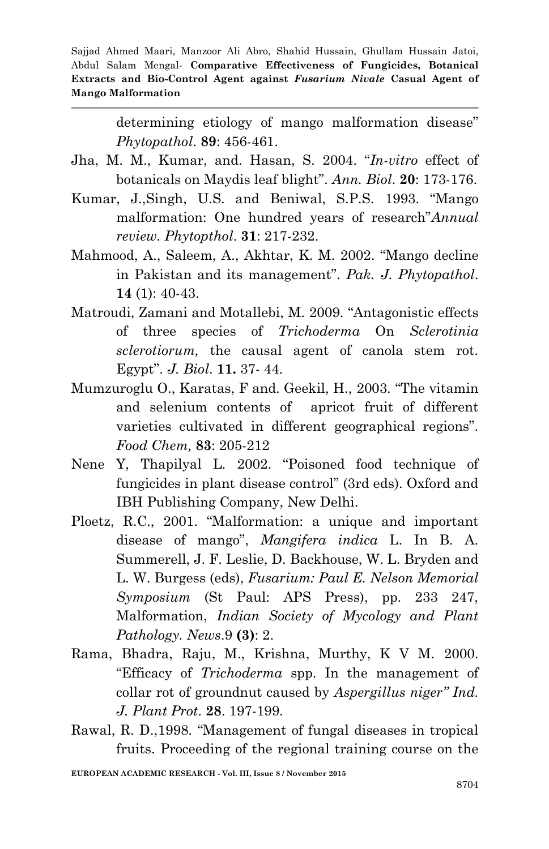> determining etiology of mango malformation disease" *Phytopathol*. **89**: 456-461.

- Jha, M. M., Kumar, and. Hasan, S. 2004. "*In-vitro* effect of botanicals on Maydis leaf blight". *Ann. Biol*. **20**: 173-176.
- Kumar, J.,Singh, U.S. and Beniwal, S.P.S. 1993. "Mango malformation: One hundred years of research"*Annual review. Phytopthol*. **31**: 217-232.
- Mahmood, A., Saleem, A., Akhtar, K. M. 2002. "Mango decline in Pakistan and its management". *Pak. J. Phytopathol*. **14** (1): 40-43.
- Matroudi, Zamani and Motallebi, M. 2009. "Antagonistic effects of three species of *Trichoderma* On *Sclerotinia sclerotiorum,* the causal agent of canola stem rot. Egypt". *J. Biol*. **11.** 37- 44.
- Mumzuroglu O., Karatas, F and. Geekil, H., 2003. "The vitamin and selenium contents of apricot fruit of different varieties cultivated in different geographical regions". *Food Chem,* **83**: 205-212
- Nene Y, Thapilyal L. 2002. "Poisoned food technique of fungicides in plant disease control" (3rd eds). Oxford and IBH Publishing Company, New Delhi.
- Ploetz, R.C., 2001. "Malformation: a unique and important disease of mango", *Mangifera indica* L. In B. A. Summerell, J. F. Leslie, D. Backhouse, W. L. Bryden and L. W. Burgess (eds), *Fusarium: Paul E. Nelson Memorial Symposium* (St Paul: APS Press), pp. 233 247, Malformation, *Indian Society of Mycology and Plant Pathology. News*.9 **(3)**: 2.
- Rama, Bhadra, Raju, M., Krishna, Murthy, K V M. 2000. "Efficacy of *Trichoderma* spp. In the management of collar rot of groundnut caused by *Aspergillus niger" Ind. J. Plant Prot*. **28**. 197-199.
- Rawal, R. D.,1998. "Management of fungal diseases in tropical fruits. Proceeding of the regional training course on the